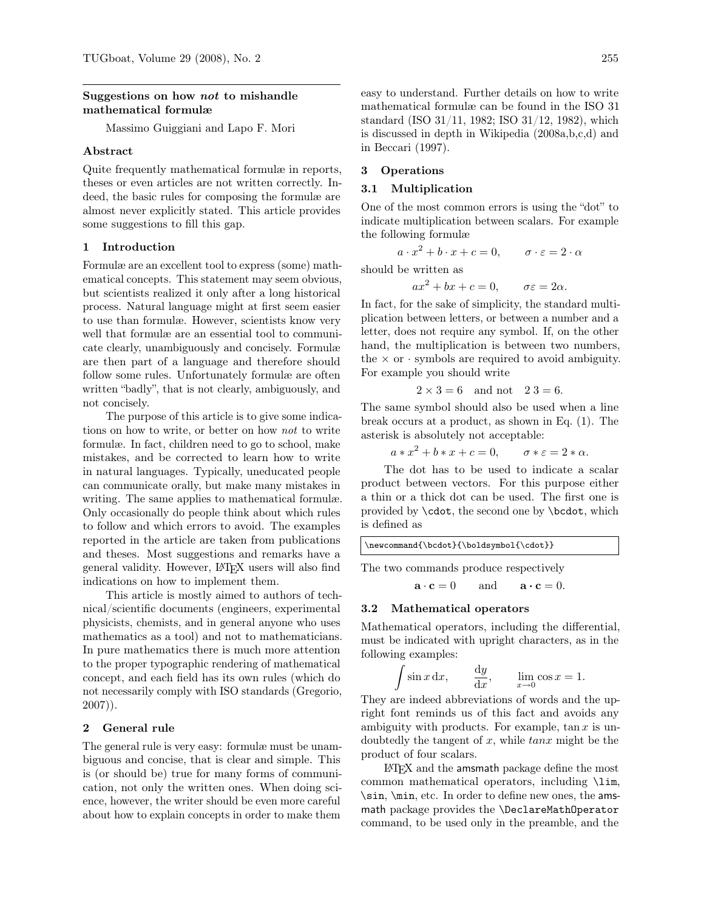## <span id="page-0-0"></span>Suggestions on how not to mishandle mathematical formulæ

Massimo Guiggiani and Lapo F. Mori

## Abstract

Quite frequently mathematical formulæ in reports, theses or even articles are not written correctly. Indeed, the basic rules for composing the formulæ are almost never explicitly stated. This article provides some suggestions to fill this gap.

#### 1 Introduction

Formulæ are an excellent tool to express (some) mathematical concepts. This statement may seem obvious, but scientists realized it only after a long historical process. Natural language might at first seem easier to use than formulæ. However, scientists know very well that formulæ are an essential tool to communicate clearly, unambiguously and concisely. Formulæ are then part of a language and therefore should follow some rules. Unfortunately formulæ are often written "badly", that is not clearly, ambiguously, and not concisely.

The purpose of this article is to give some indications on how to write, or better on how *not* to write formulæ. In fact, children need to go to school, make mistakes, and be corrected to learn how to write in natural languages. Typically, uneducated people can communicate orally, but make many mistakes in writing. The same applies to mathematical formulæ. Only occasionally do people think about which rules to follow and which errors to avoid. The examples reported in the article are taken from publications and theses. Most suggestions and remarks have a general validity. However, L<sup>A</sup>TEX users will also find indications on how to implement them.

This article is mostly aimed to authors of technical/scientific documents (engineers, experimental physicists, chemists, and in general anyone who uses mathematics as a tool) and not to mathematicians. In pure mathematics there is much more attention to the proper typographic rendering of mathematical concept, and each field has its own rules (which do not necessarily comply with ISO standards [\(Gregorio,](#page-7-0) [2007\)](#page-7-0)).

## 2 General rule

The general rule is very easy: formulæ must be unambiguous and concise, that is clear and simple. This is (or should be) true for many forms of communication, not only the written ones. When doing science, however, the writer should be even more careful about how to explain concepts in order to make them

easy to understand. Further details on how to write mathematical formulæ can be found in the ISO 31 standard [\(ISO 31/11, 1982;](#page-7-1) [ISO 31/12, 1982\)](#page-7-2), which is discussed in depth in [Wikipedia \(2008a,](#page-8-0)[b](#page-8-1)[,c](#page-8-2)[,d\)](#page-8-3) and in [Beccari \(1997\)](#page-7-3).

## 3 Operations

## 3.1 Multiplication

One of the most common errors is using the "dot" to indicate multiplication between scalars. For example the following formulæ

$$
a \cdot x^2 + b \cdot x + c = 0, \qquad \sigma \cdot \varepsilon = 2 \cdot \alpha
$$

should be written as

$$
ax^2 + bx + c = 0, \qquad \sigma \varepsilon = 2\alpha.
$$

In fact, for the sake of simplicity, the standard multiplication between letters, or between a number and a letter, does not require any symbol. If, on the other hand, the multiplication is between two numbers, the  $\times$  or  $\cdot$  symbols are required to avoid ambiguity. For example you should write

$$
2 \times 3 = 6
$$
 and not  $23 = 6$ .

The same symbol should also be used when a line break occurs at a product, as shown in Eq. [\(1\)](#page-1-0). The asterisk is absolutely not acceptable:

$$
a * x2 + b * x + c = 0, \qquad \sigma * \varepsilon = 2 * \alpha.
$$

The dot has to be used to indicate a scalar product between vectors. For this purpose either a thin or a thick dot can be used. The first one is provided by \cdot, the second one by \bcdot, which is defined as

\newcommand{\bcdot}{\boldsymbol{\cdot}}

The two commands produce respectively

$$
\mathbf{a} \cdot \mathbf{c} = 0 \quad \text{and} \quad \mathbf{a} \cdot \mathbf{c} = 0.
$$

### 3.2 Mathematical operators

Mathematical operators, including the differential, must be indicated with upright characters, as in the following examples:

$$
\int \sin x \, dx, \qquad \frac{dy}{dx}, \qquad \lim_{x \to 0} \cos x = 1.
$$

They are indeed abbreviations of words and the upright font reminds us of this fact and avoids any ambiguity with products. For example,  $\tan x$  is undoubtedly the tangent of  $x$ , while  $tan x$  might be the product of four scalars.

L<sup>A</sup>TEX and the amsmath package define the most common mathematical operators, including \lim, \sin, \min, etc. In order to define new ones, the amsmath package provides the \DeclareMathOperator command, to be used only in the preamble, and the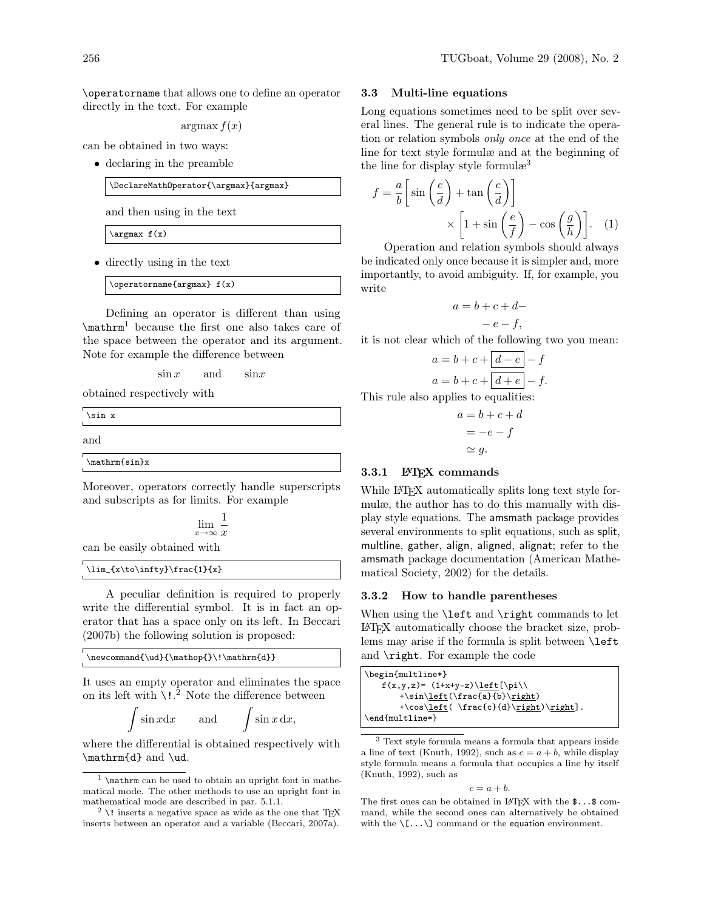\operatorname that allows one to define an operator directly in the text. For example

 $argmax f(x)$ 

can be obtained in two ways:

• declaring in the preamble

\DeclareMathOperator{\argmax}{argmax}

and then using in the text

 $\argmax f(x)$ 

• directly using in the text

\operatorname{argmax} f(x)

Defining an operator is different than using \mathrm[1](#page-0-0) because the first one also takes care of the space between the operator and its argument. Note for example the difference between

 $\sin x$  and  $\sin x$ 

obtained respectively with

\sin x

and

\mathrm{sin}x

Moreover, operators correctly handle superscripts and subscripts as for limits. For example

$$
\lim_{x \to \infty} \frac{1}{x}
$$

can be easily obtained with

## \lim\_{x\to\infty}\frac{1}{x}

A peculiar definition is required to properly write the differential symbol. It is in fact an operator that has a space only on its left. In [Beccari](#page-7-4) [\(2007b\)](#page-7-4) the following solution is proposed:

 $\newcommand{\ud}{\mathbf{}' \mathbf{d}}$ 

It uses an empty operator and eliminates the space on its left with  $\lambda$ !.<sup>[2](#page-0-0)</sup> Note the difference between

$$
\int \sin x dx \qquad \text{and} \qquad \int \sin x dx,
$$

where the differential is obtained respectively with \mathrm{d} and \ud.

## 3.3 Multi-line equations

Long equations sometimes need to be split over several lines. The general rule is to indicate the operation or relation symbols *only once* at the end of the line for text style formulæ and at the beginning of the line for display style formulæ<sup>[3](#page-0-0)</sup>

$$
f = \frac{a}{b} \left[ \sin\left(\frac{c}{d}\right) + \tan\left(\frac{c}{d}\right) \right]
$$

$$
\times \left[ 1 + \sin\left(\frac{e}{f}\right) - \cos\left(\frac{g}{h}\right) \right]. \quad (1)
$$

Operation and relation symbols should always be indicated only once because it is simpler and, more importantly, to avoid ambiguity. If, for example, you write

<span id="page-1-0"></span>
$$
a = b + c + d -
$$

$$
-e - f,
$$

it is not clear which of the following two you mean:

$$
a = b + c + \boxed{d - e - f}
$$

$$
a = b + c + \boxed{d + e - f}.
$$

This rule also applies to equalities:

$$
a = b + c + d
$$

$$
= -e - f
$$

$$
\simeq g.
$$

## 3.3.1 LATEX commands

While LAT<sub>EX</sub> automatically splits long text style formulæ, the author has to do this manually with display style equations. The amsmath package provides several environments to split equations, such as split, multline, gather, align, aligned, alignat; refer to the amsmath package documentation [\(American Mathe](#page-7-6)[matical Society, 2002\)](#page-7-6) for the details.

#### 3.3.2 How to handle parentheses

When using the **\left** and **\right** commands to let L<sup>A</sup>TEX automatically choose the bracket size, problems may arise if the formula is split between **\left** and \right. For example the code

| \begin{multline*}                       |  |
|-----------------------------------------|--|
| $f(x,y,z) = (1+x+y-z)\left[\pi\right]$  |  |
| $+\sin\left(\frac{a}{b}\right)$         |  |
| $+\cos\left(\frac{c}{d}\right)\right].$ |  |
| \end{multline*}                         |  |

<sup>3</sup> Text style formula means a formula that appears inside a line of text [\(Knuth, 1992\)](#page-8-4), such as  $c = a + b$ , while display style formula means a formula that occupies a line by itself [\(Knuth, 1992\)](#page-8-4), such as

$$
c = a + b.
$$

The first ones can be obtained in LAT<sub>E</sub>X with the  $\text{\$} \dots \text{\$}$  command, while the second ones can alternatively be obtained with the  $\langle [\ldots] \rangle$  command or the equation environment.

<sup>&</sup>lt;sup>1</sup> \mathrm can be used to obtain an upright font in mathematical mode. The other methods to use an upright font in mathematical mode are described in par. [5.1.1.](#page-4-0)

<sup>&</sup>lt;sup>2</sup> \! inserts a negative space as wide as the one that TEX inserts between an operator and a variable [\(Beccari, 2007a\)](#page-7-5).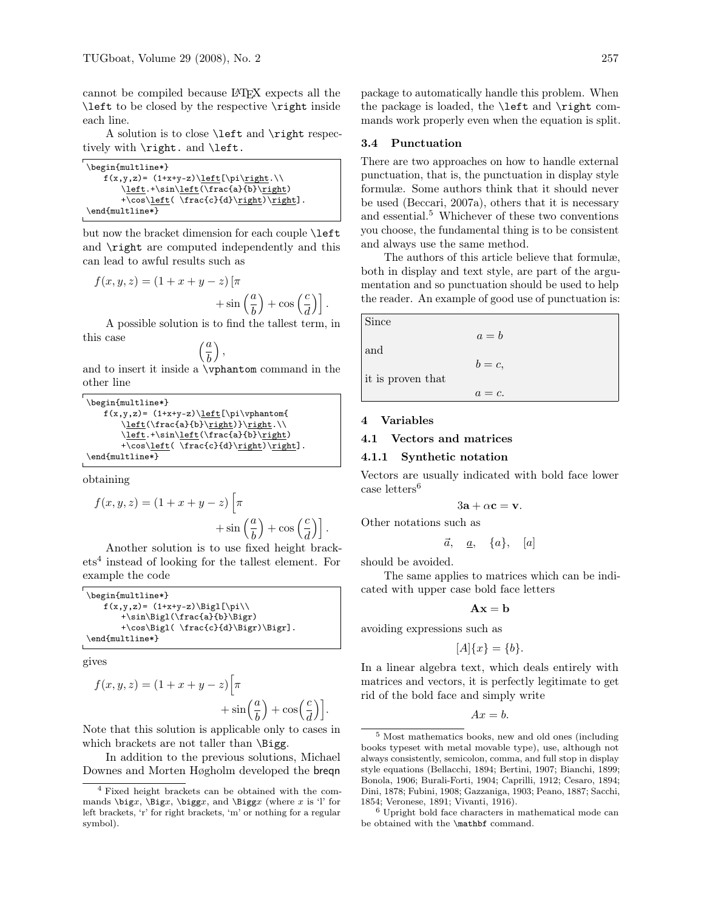cannot be compiled because L<sup>A</sup>TEX expects all the \left to be closed by the respective \right inside each line.

A solution is to close \left and \right respectively with \right. and \left.

| \begin{multline*}                        |
|------------------------------------------|
| $f(x,y,z) = (1+x+y-z)\left[\pi\right.\)$ |
| \left.+\sin\left(\frac{a}{b}\right)      |
| $+\cos\left(\frac{c}{d}\right)\right].$  |
| \end{multline*}                          |

but now the bracket dimension for each couple \left and \right are computed independently and this can lead to awful results such as

$$
f(x, y, z) = (1 + x + y - z) \left[ \pi + \sin\left(\frac{a}{b}\right) + \cos\left(\frac{c}{d}\right) \right].
$$

A possible solution is to find the tallest term, in this case

$$
\left(\frac{a}{b}\right),
$$

and to insert it inside a \vphantom command in the other line

```
\begin{multline*}
   f(x,y,z)= (1+x+y-z)\leq f(\pi\vphi\left(\frac{a}{b}\right) \right.\\left.+\sin\left(\frac{a}{b}\right)
       +\cos\left(\frac{c}{d}\right)\right].
\end{multline*}
```
obtaining

$$
f(x, y, z) = (1 + x + y - z) \left[ \pi + \sin\left(\frac{a}{b}\right) + \cos\left(\frac{c}{d}\right) \right].
$$

Another solution is to use fixed height brackets[4](#page-0-0) instead of looking for the tallest element. For example the code

| \begin{multline*}                   |
|-------------------------------------|
| $f(x,y,z) = (1+x+y-z)\Big  \psi($   |
| $+\sin\Big(\frac{a}{b}\Big)$        |
| +\cos\Bigl(\frac{c}{d}\Bigr)\Bigr]. |
| \end{multline*}                     |

gives

$$
f(x, y, z) = (1 + x + y - z) \left[ \pi + \sin\left(\frac{a}{b}\right) + \cos\left(\frac{c}{d}\right) \right].
$$

Note that this solution is applicable only to cases in which brackets are not taller than \Bigg.

In addition to the previous solutions, Michael Downes and Morten Høgholm developed the breqn package to automatically handle this problem. When the package is loaded, the \left and \right commands work properly even when the equation is split.

### 3.4 Punctuation

There are two approaches on how to handle external punctuation, that is, the punctuation in display style formulæ. Some authors think that it should never be used [\(Beccari, 2007a\)](#page-7-5), others that it is necessary and essential.<sup>[5](#page-0-0)</sup> Whichever of these two conventions you choose, the fundamental thing is to be consistent and always use the same method.

The authors of this article believe that formulæ, both in display and text style, are part of the argumentation and so punctuation should be used to help the reader. An example of good use of punctuation is:

| Since             |           |
|-------------------|-----------|
|                   | $a = b$   |
| and               |           |
|                   | $b=c$ ,   |
| it is proven that |           |
|                   | $a = c$ . |

## 4 Variables

4.1 Vectors and matrices

### 4.1.1 Synthetic notation

Vectors are usually indicated with bold face lower case letters $^6$  $^6$ 

$$
3\mathbf{a} + \alpha \mathbf{c} = \mathbf{v}.
$$

Other notations such as

$$
\vec{a}, \quad \underline{a}, \quad \{a\}, \quad [a]
$$

should be avoided.

The same applies to matrices which can be indicated with upper case bold face letters

 $A x = h$ 

avoiding expressions such as

$$
[A]\{x\} = \{b\}.
$$

In a linear algebra text, which deals entirely with matrices and vectors, it is perfectly legitimate to get rid of the bold face and simply write

$$
Ax = b.
$$

<sup>4</sup> Fixed height brackets can be obtained with the commands  $\bigg\{x, \Big\}$ ,  $\bigg\{x, \big\}$ , and  $\Big\}$  (where x is 'l' for left brackets, 'r' for right brackets, 'm' or nothing for a regular symbol).

<sup>5</sup> Most mathematics books, new and old ones (including books typeset with metal movable type), use, although not always consistently, semicolon, comma, and full stop in display style equations [\(Bellacchi, 1894;](#page-7-7) [Bertini, 1907;](#page-7-8) [Bianchi, 1899;](#page-7-9) [Bonola, 1906;](#page-7-10) [Burali-Forti, 1904;](#page-7-11) [Caprilli, 1912;](#page-7-12) [Cesaro, 1894;](#page-7-13) [Dini, 1878;](#page-7-14) [Fubini, 1908;](#page-7-15) [Gazzaniga, 1903;](#page-7-16) [Peano, 1887;](#page-8-5) [Sacchi,](#page-8-6) [1854;](#page-8-6) [Veronese, 1891;](#page-8-7) [Vivanti, 1916\)](#page-8-8).

<sup>6</sup> Upright bold face characters in mathematical mode can be obtained with the \mathbf command.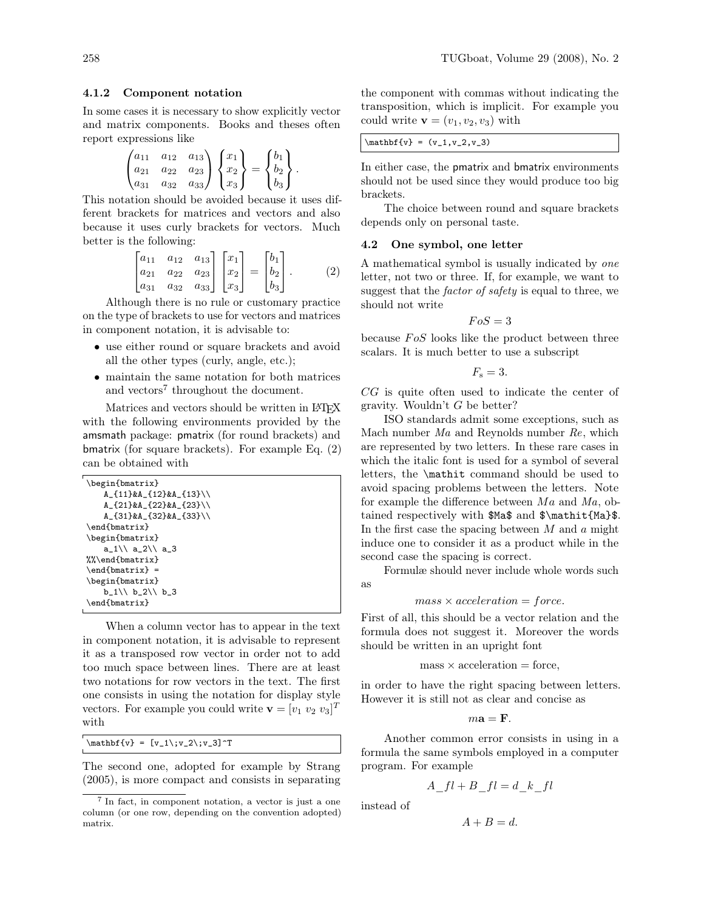### 4.1.2 Component notation

In some cases it is necessary to show explicitly vector and matrix components. Books and theses often report expressions like

$$
\begin{pmatrix} a_{11} & a_{12} & a_{13} \ a_{21} & a_{22} & a_{23} \ a_{31} & a_{32} & a_{33} \end{pmatrix} \begin{pmatrix} x_1 \ x_2 \ x_3 \end{pmatrix} = \begin{pmatrix} b_1 \ b_2 \ b_3 \end{pmatrix}.
$$

This notation should be avoided because it uses different brackets for matrices and vectors and also because it uses curly brackets for vectors. Much better is the following:

<span id="page-3-0"></span>
$$
\begin{bmatrix} a_{11} & a_{12} & a_{13} \ a_{21} & a_{22} & a_{23} \ a_{31} & a_{32} & a_{33} \end{bmatrix} \begin{bmatrix} x_1 \ x_2 \ x_3 \end{bmatrix} = \begin{bmatrix} b_1 \ b_2 \ b_3 \end{bmatrix}.
$$
 (2)

Although there is no rule or customary practice on the type of brackets to use for vectors and matrices in component notation, it is advisable to:

- use either round or square brackets and avoid all the other types (curly, angle, etc.);
- maintain the same notation for both matrices and vectors<sup>[7](#page-0-0)</sup> throughout the document.

Matrices and vectors should be written in LATFX with the following environments provided by the amsmath package: pmatrix (for round brackets) and bmatrix (for square brackets). For example Eq. [\(2\)](#page-3-0) can be obtained with

| \begin{bmatrix}                          |
|------------------------------------------|
| $A_{11}$ $A_{2}$ $A_{3}$ $(12)$ $A_{13}$ |
| A {21}&A {22}&A {23}\\                   |
| $A_{31}$ $kA_{32}$ $kA_{33}$ \\          |
| \end{bmatrix}                            |
| \begin{bmatrix}                          |
| a $1 \vee a 2 \vee a 3$                  |
| $\%$ \end{bmatrix}                       |
| $\end{frac}$ =                           |
| \begin{bmatrix}                          |
| $b$ 1\\ b 2\\ b 3                        |
| $\end{frac}$                             |

When a column vector has to appear in the text in component notation, it is advisable to represent it as a transposed row vector in order not to add too much space between lines. There are at least two notations for row vectors in the text. The first one consists in using the notation for display style vectors. For example you could write  $\mathbf{v} = [v_1 \; v_2 \; v_3]^T$ with

 $\mathbf{v} = [v_1\; v_2\; v_3]$ <sup>-T</sup>

The second one, adopted for example by [Strang](#page-8-9) [\(2005\)](#page-8-9), is more compact and consists in separating the component with commas without indicating the transposition, which is implicit. For example you could write  $\mathbf{v} = (v_1, v_2, v_3)$  with

| $\mathbf{v} = (v_1, v_2, v_3)$ |  |
|--------------------------------|--|
|--------------------------------|--|

In either case, the pmatrix and bmatrix environments should not be used since they would produce too big brackets.

The choice between round and square brackets depends only on personal taste.

#### 4.2 One symbol, one letter

A mathematical symbol is usually indicated by *one* letter, not two or three. If, for example, we want to suggest that the *factor of safety* is equal to three, we should not write

 $FoS = 3$ 

because  $F \circ S$  looks like the product between three scalars. It is much better to use a subscript

$$
F_{\rm s}=3.
$$

CG is quite often used to indicate the center of gravity. Wouldn't  $G$  be better?

ISO standards admit some exceptions, such as Mach number Ma and Reynolds number Re, which are represented by two letters. In these rare cases in which the italic font is used for a symbol of several letters, the \mathit command should be used to avoid spacing problems between the letters. Note for example the difference between  $Ma$  and  $Ma$ , obtained respectively with \$Ma\$ and \$\mathit{Ma}\$. In the first case the spacing between  $M$  and  $\alpha$  might induce one to consider it as a product while in the second case the spacing is correct.

Formulæ should never include whole words such as

$$
mass \times acceleration = force.
$$

First of all, this should be a vector relation and the formula does not suggest it. Moreover the words should be written in an upright font

 $mass \times acceleration = force$ ,

in order to have the right spacing between letters. However it is still not as clear and concise as

 $m\mathbf{a} = \mathbf{F}$ .

Another common error consists in using in a formula the same symbols employed in a computer program. For example

$$
A_{I}t + B_{I}t = d_{k}t
$$

instead of

$$
A + B = d.
$$

<sup>7</sup> In fact, in component notation, a vector is just a one column (or one row, depending on the convention adopted) matrix.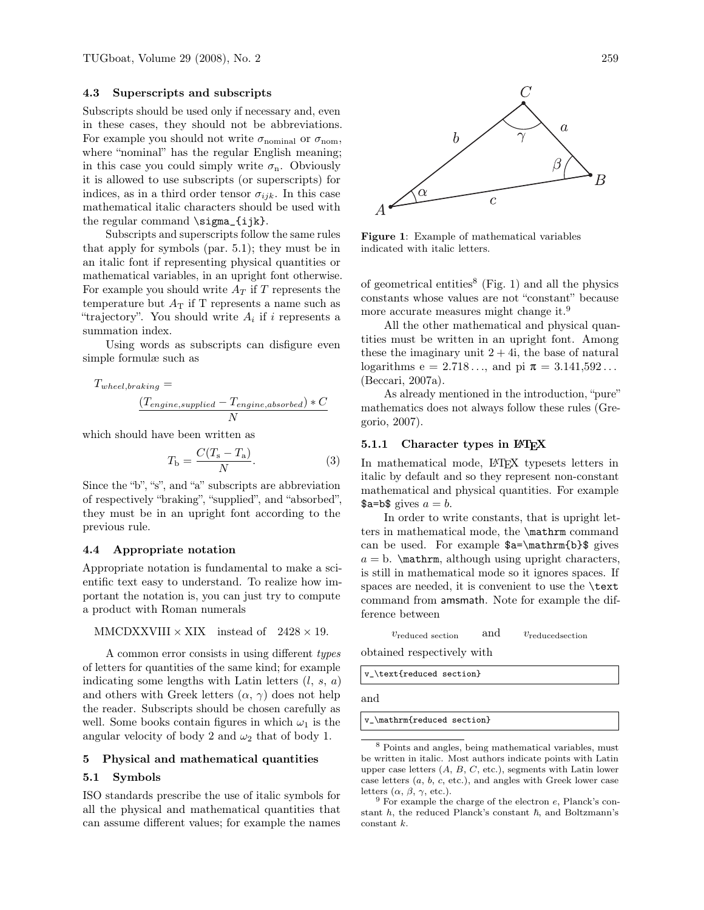## 4.3 Superscripts and subscripts

Subscripts should be used only if necessary and, even in these cases, they should not be abbreviations. For example you should not write  $\sigma_{\text{nominal}}$  or  $\sigma_{\text{nom}}$ , where "nominal" has the regular English meaning; in this case you could simply write  $\sigma_n$ . Obviously it is allowed to use subscripts (or superscripts) for indices, as in a third order tensor  $\sigma_{ijk}$ . In this case mathematical italic characters should be used with the regular command \sigma\_{ijk}.

Subscripts and superscripts follow the same rules that apply for symbols (par. [5.1\)](#page-4-1); they must be in an italic font if representing physical quantities or mathematical variables, in an upright font otherwise. For example you should write  $A_T$  if T represents the temperature but  $A_T$  if T represents a name such as "trajectory". You should write  $A_i$  if i represents a summation index.

Using words as subscripts can disfigure even simple formulæ such as

$$
T_{wheel, braking} = \frac{(T_{engine, supplied} - T_{engine, absorbed}) * C}{N}
$$

which should have been written as

$$
T_{\rm b} = \frac{C(T_{\rm s} - T_{\rm a})}{N}.
$$
 (3)

Since the "b", "s", and "a" subscripts are abbreviation of respectively "braking", "supplied", and "absorbed", they must be in an upright font according to the previous rule.

## 4.4 Appropriate notation

Appropriate notation is fundamental to make a scientific text easy to understand. To realize how important the notation is, you can just try to compute a product with Roman numerals

```
MMCDXXVIII \times XIX instead of 2428 \times 19.
```
A common error consists in using different *types* of letters for quantities of the same kind; for example indicating some lengths with Latin letters  $(l, s, a)$ and others with Greek letters  $(\alpha, \gamma)$  does not help the reader. Subscripts should be chosen carefully as well. Some books contain figures in which  $\omega_1$  is the angular velocity of body 2 and  $\omega_2$  that of body 1.

## 5 Physical and mathematical quantities

# <span id="page-4-1"></span>5.1 Symbols

ISO standards prescribe the use of italic symbols for all the physical and mathematical quantities that can assume different values; for example the names



<span id="page-4-2"></span>Figure 1: Example of mathematical variables indicated with italic letters.

of geometrical entities<sup>[8](#page-0-0)</sup> (Fig. [1\)](#page-4-2) and all the physics constants whose values are not "constant" because more accurate measures might change it.<sup>[9](#page-0-0)</sup>

All the other mathematical and physical quantities must be written in an upright font. Among these the imaginary unit  $2 + 4i$ , the base of natural logarithms  $e = 2.718...$ , and pi  $\pi = 3.141,592...$ [\(Beccari, 2007a\)](#page-7-5).

As already mentioned in the introduction, "pure" mathematics does not always follow these rules [\(Gre](#page-7-0)[gorio, 2007\)](#page-7-0).

## <span id="page-4-0"></span>5.1.1 Character types in LATEX

In mathematical mode, LATEX typesets letters in italic by default and so they represent non-constant mathematical and physical quantities. For example  $a=b\$  gives  $a=b$ .

In order to write constants, that is upright letters in mathematical mode, the \mathrm command can be used. For example \$a=\mathrm{b}\$ gives  $a = b$ . \mathrm, although using upright characters, is still in mathematical mode so it ignores spaces. If spaces are needed, it is convenient to use the \text command from amsmath. Note for example the difference between

| $v_{reduced section}$ | and | $v_{reduced section}$ |
|-----------------------|-----|-----------------------|
|                       |     |                       |

obtained respectively with

v\_\text{reduced section}

and

v\_\mathrm{reduced section}

<sup>8</sup> Points and angles, being mathematical variables, must be written in italic. Most authors indicate points with Latin upper case letters  $(A, B, C, etc.),$  segments with Latin lower case letters  $(a, b, c, etc.),$  and angles with Greek lower case letters  $(\alpha, \beta, \gamma, \text{etc.}).$ 

 $9$  For example the charge of the electron  $e$ , Planck's constant  $h$ , the reduced Planck's constant  $\hbar$ , and Boltzmann's constant k.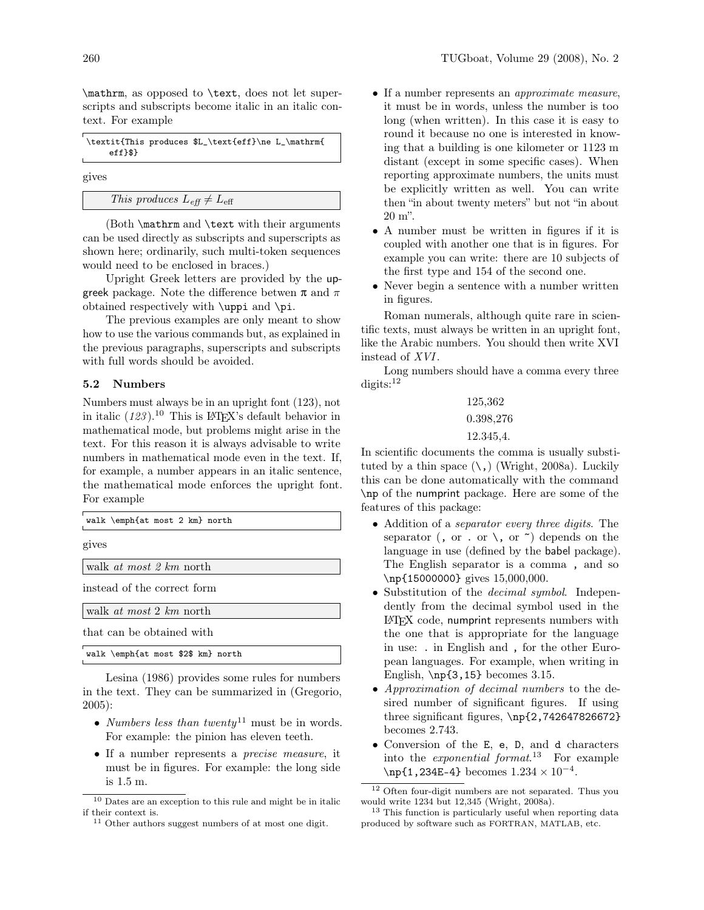\mathrm, as opposed to \text, does not let superscripts and subscripts become italic in an italic context. For example

|           | \textit{This produces \$L_\text{eff}\ne L_\mathrm{ |  |
|-----------|----------------------------------------------------|--|
| $eff$ $\$ |                                                    |  |

gives

```
This produces L_{\text{eff}} \neq L_{\text{eff}}
```
(Both \mathrm and \text with their arguments can be used directly as subscripts and superscripts as shown here; ordinarily, such multi-token sequences would need to be enclosed in braces.)

Upright Greek letters are provided by the upgreek package. Note the difference betwen  $\pi$  and  $\pi$ obtained respectively with \uppi and \pi.

The previous examples are only meant to show how to use the various commands but, as explained in the previous paragraphs, superscripts and subscripts with full words should be avoided.

## 5.2 Numbers

Numbers must always be in an upright font (123), not in italic  $(123)$ .<sup>[10](#page-0-0)</sup> This is LAT<sub>EX</sub>'s default behavior in mathematical mode, but problems might arise in the text. For this reason it is always advisable to write numbers in mathematical mode even in the text. If, for example, a number appears in an italic sentence, the mathematical mode enforces the upright font. For example

| walk \emph{at most 2 km} north |
|--------------------------------|
| gives                          |
| walk at most 2 km north        |
| instead of the correct form    |
| walk at most 2 km north        |
| that can be obtained with      |

|  |   |  | walk \emph{at most \$2\$ km} north |  |  |
|--|---|--|------------------------------------|--|--|
|  | . |  |                                    |  |  |

[Lesina \(1986\)](#page-8-10) provides some rules for numbers in the text. They can be summarized in [\(Gregorio,](#page-7-17) [2005\)](#page-7-17):

- *Numbers less than twenty*[11](#page-0-0) must be in words. For example: the pinion has eleven teeth.
- If a number represents a *precise measure*, it must be in figures. For example: the long side is 1.5 m.
- If a number represents an *approximate measure*, it must be in words, unless the number is too long (when written). In this case it is easy to round it because no one is interested in knowing that a building is one kilometer or 1123 m distant (except in some specific cases). When reporting approximate numbers, the units must be explicitly written as well. You can write then "in about twenty meters" but not "in about 20 m".
- A number must be written in figures if it is coupled with another one that is in figures. For example you can write: there are 10 subjects of the first type and 154 of the second one.
- Never begin a sentence with a number written in figures.

Roman numerals, although quite rare in scientific texts, must always be written in an upright font, like the Arabic numbers. You should then write XVI instead of XVI.

Long numbers should have a comma every three  $\text{digits:}^{12}$  $\text{digits:}^{12}$  $\text{digits:}^{12}$ 

$$
\begin{array}{c} 125{,}362 \\ 0.398{,}276 \\ 12.345{,}4. \end{array}
$$

In scientific documents the comma is usually substituted by a thin space  $(\lambda)$ , [\(Wright, 2008a\)](#page-8-11). Luckily this can be done automatically with the command \np of the numprint package. Here are some of the features of this package:

- Addition of a *separator every three digits*. The separator (, or . or  $\setminus$ , or  $\tilde{\phantom{a}}$ ) depends on the language in use (defined by the babel package). The English separator is a comma , and so \np{15000000} gives 15,000,000.
- Substitution of the *decimal symbol*. Independently from the decimal symbol used in the L<sup>A</sup>TEX code, numprint represents numbers with the one that is appropriate for the language in use: . in English and , for the other European languages. For example, when writing in English,  $\np{3,15}$  becomes 3.15.
- *Approximation of decimal numbers* to the desired number of significant figures. If using three significant figures,  $\np{2,742647826672}$ becomes 2.743.
- Conversion of the E, e, D, and d characters into the *exponential format*. [13](#page-0-0) For example  $\n\pi{1,234E-4}$  becomes  $1.234 \times 10^{-4}$ .

<sup>10</sup> Dates are an exception to this rule and might be in italic if their context is.

<sup>11</sup> Other authors suggest numbers of at most one digit.

 $^{\rm 12}$  Often four-digit numbers are not separated. Thus you would write 1234 but 12,345 [\(Wright, 2008a\)](#page-8-11).

<sup>&</sup>lt;sup>13</sup> This function is particularly useful when reporting data produced by software such as FORTRAN, MATLAB, etc.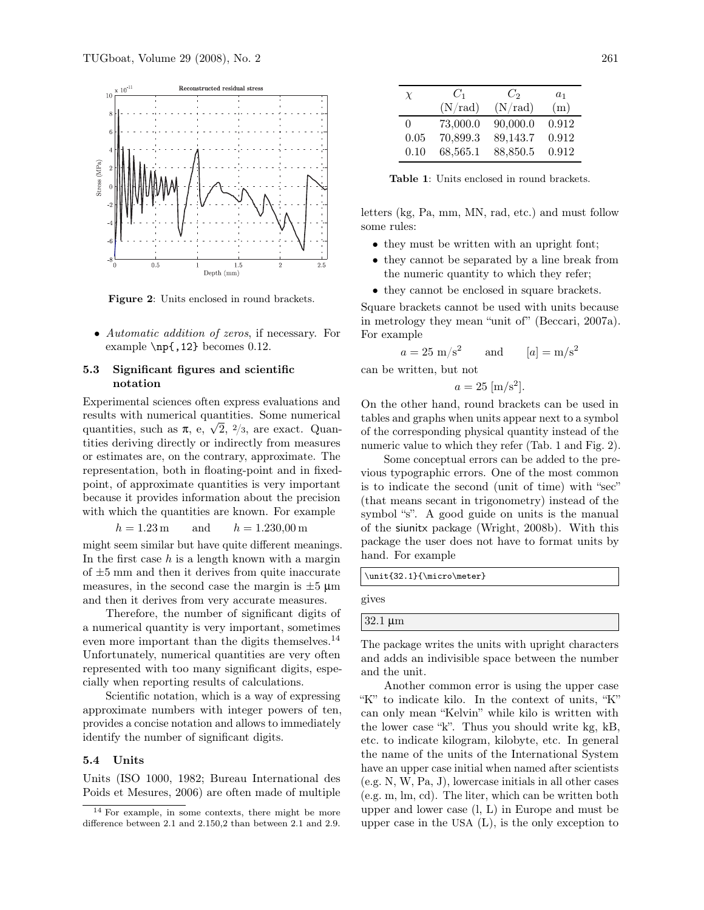

<span id="page-6-1"></span>Figure 2: Units enclosed in round brackets.

• *Automatic addition of zeros*, if necessary. For example \np{,12} becomes 0.12.

## 5.3 Significant figures and scientific notation

Experimental sciences often express evaluations and results with numerical quantities. Some numerical quantities, such as  $\pi$ , e,  $\sqrt{2}$ ,  $\frac{2}{3}$ , are exact. Quantities deriving directly or indirectly from measures or estimates are, on the contrary, approximate. The representation, both in floating-point and in fixedpoint, of approximate quantities is very important because it provides information about the precision with which the quantities are known. For example

$$
h = 1.23 \,\mathrm{m}
$$
 and  $h = 1.230,00 \,\mathrm{m}$ 

might seem similar but have quite different meanings. In the first case  $h$  is a length known with a margin of  $\pm 5$  mm and then it derives from quite inaccurate measures, in the second case the margin is  $\pm 5 \mu m$ and then it derives from very accurate measures.

Therefore, the number of significant digits of a numerical quantity is very important, sometimes even more important than the digits themselves.<sup>[14](#page-0-0)</sup> Unfortunately, numerical quantities are very often represented with too many significant digits, especially when reporting results of calculations.

Scientific notation, which is a way of expressing approximate numbers with integer powers of ten, provides a concise notation and allows to immediately identify the number of significant digits.

### 5.4 Units

Units [\(ISO 1000, 1982;](#page-7-18) [Bureau International des](#page-7-19) [Poids et Mesures, 2006\)](#page-7-19) are often made of multiple

| $\chi$   | $C_1$    | $C_2$    | $a_1$ |
|----------|----------|----------|-------|
|          | (N/rad)  | (N/rad)  | (m)   |
| $\Omega$ | 73,000.0 | 90,000.0 | 0.912 |
| 0.05     | 70,899.3 | 89,143.7 | 0.912 |
| 0.10     | 68,565.1 | 88,850.5 | 0.912 |

<span id="page-6-0"></span>Table 1: Units enclosed in round brackets.

letters (kg, Pa, mm, MN, rad, etc.) and must follow some rules:

- they must be written with an upright font;
- they cannot be separated by a line break from the numeric quantity to which they refer;
- they cannot be enclosed in square brackets.

Square brackets cannot be used with units because in metrology they mean "unit of" [\(Beccari, 2007a\)](#page-7-5). For example

$$
a = 25 \text{ m/s}^2
$$
 and  $[a] = \text{m/s}^2$ 

can be written, but not

$$
a = 25 \,[\mathrm{m/s^2}].
$$

On the other hand, round brackets can be used in tables and graphs when units appear next to a symbol of the corresponding physical quantity instead of the numeric value to which they refer (Tab. [1](#page-6-0) and Fig. [2\)](#page-6-1).

Some conceptual errors can be added to the previous typographic errors. One of the most common is to indicate the second (unit of time) with "sec" (that means secant in trigonometry) instead of the symbol "s". A good guide on units is the manual of the siunitx package [\(Wright, 2008b\)](#page-8-12). With this package the user does not have to format units by hand. For example

\unit{32.1}{\micro\meter}

gives

 $32.1 \mu m$ 

The package writes the units with upright characters and adds an indivisible space between the number and the unit.

Another common error is using the upper case "K" to indicate kilo. In the context of units, "K" can only mean "Kelvin" while kilo is written with the lower case "k". Thus you should write kg, kB, etc. to indicate kilogram, kilobyte, etc. In general the name of the units of the International System have an upper case initial when named after scientists (e.g. N, W, Pa, J), lowercase initials in all other cases (e.g. m, lm, cd). The liter, which can be written both upper and lower case (l, L) in Europe and must be upper case in the USA (L), is the only exception to

<sup>14</sup> For example, in some contexts, there might be more difference between 2.1 and 2.150,2 than between 2.1 and 2.9.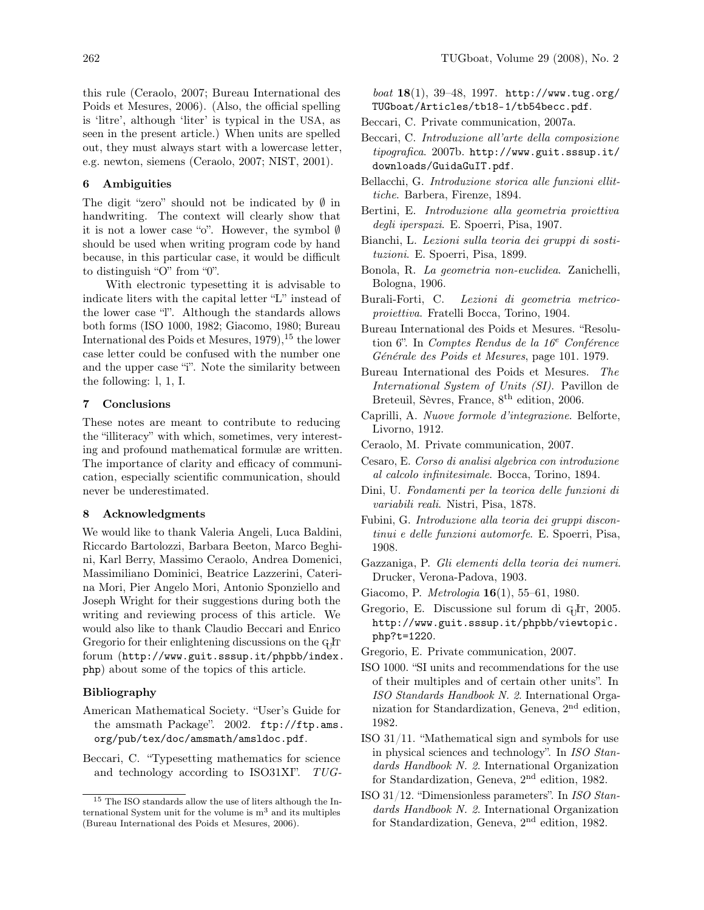this rule [\(Ceraolo, 2007;](#page-7-20) [Bureau International des](#page-7-19) [Poids et Mesures, 2006\)](#page-7-19). (Also, the official spelling is 'litre', although 'liter' is typical in the USA, as seen in the present article.) When units are spelled out, they must always start with a lowercase letter, e.g. newton, siemens [\(Ceraolo, 2007;](#page-7-20) [NIST, 2001\)](#page-8-13).

## 6 Ambiguities

The digit "zero" should not be indicated by  $\emptyset$  in handwriting. The context will clearly show that it is not a lower case "o". However, the symbol ∅ should be used when writing program code by hand because, in this particular case, it would be difficult to distinguish "O" from "0".

With electronic typesetting it is advisable to indicate liters with the capital letter "L" instead of the lower case "l". Although the standards allows both forms [\(ISO 1000, 1982;](#page-7-18) [Giacomo, 1980;](#page-7-21) [Bureau](#page-7-22) International des Poids et Mesures,  $1979$ ,  $^{15}$  $^{15}$  $^{15}$  the lower case letter could be confused with the number one and the upper case "i". Note the similarity between the following: l, 1, I.

## 7 Conclusions

These notes are meant to contribute to reducing the "illiteracy" with which, sometimes, very interesting and profound mathematical formulæ are written. The importance of clarity and efficacy of communication, especially scientific communication, should never be underestimated.

## 8 Acknowledgments

We would like to thank Valeria Angeli, Luca Baldini, Riccardo Bartolozzi, Barbara Beeton, Marco Beghini, Karl Berry, Massimo Ceraolo, Andrea Domenici, Massimiliano Dominici, Beatrice Lazzerini, Caterina Mori, Pier Angelo Mori, Antonio Sponziello and Joseph Wright for their suggestions during both the writing and reviewing process of this article. We would also like to thank Claudio Beccari and Enrico Gregorio for their enlightening discussions on the GHT forum ([http://www.guit.sssup.it/phpbb/index.](http://www.guit.sssup.it/phpbb/index.php) [php](http://www.guit.sssup.it/phpbb/index.php)) about some of the topics of this article.

### Bibliography

- <span id="page-7-6"></span>American Mathematical Society. "User's Guide for the amsmath Package". 2002. [ftp://ftp.ams.](ftp://ftp.ams.org/pub/tex/doc/amsmath/amsldoc.pdf) [org/pub/tex/doc/amsmath/amsldoc.pdf](ftp://ftp.ams.org/pub/tex/doc/amsmath/amsldoc.pdf).
- <span id="page-7-3"></span>Beccari, C. "Typesetting mathematics for science and technology according to ISO31XI". *TUG-*

*boat* 18(1), 39–48, 1997. [http://www.tug.org/](http://www.tug.org/TUGboat/Articles/tb18-1/tb54becc.pdf) [TUGboat/Articles/tb18-1/tb54becc.pdf](http://www.tug.org/TUGboat/Articles/tb18-1/tb54becc.pdf).

- <span id="page-7-5"></span>Beccari, C. Private communication, 2007a.
- <span id="page-7-4"></span>Beccari, C. *Introduzione all'arte della composizione tipografica*. 2007b. [http://www.guit.sssup.it/](http://www.guit.sssup.it/downloads/GuidaGuIT.pdf) [downloads/GuidaGuIT.pdf](http://www.guit.sssup.it/downloads/GuidaGuIT.pdf).
- <span id="page-7-7"></span>Bellacchi, G. *Introduzione storica alle funzioni ellittiche*. Barbera, Firenze, 1894.
- <span id="page-7-8"></span>Bertini, E. *Introduzione alla geometria proiettiva degli iperspazi*. E. Spoerri, Pisa, 1907.
- <span id="page-7-9"></span>Bianchi, L. *Lezioni sulla teoria dei gruppi di sostituzioni*. E. Spoerri, Pisa, 1899.
- <span id="page-7-10"></span>Bonola, R. *La geometria non-euclidea*. Zanichelli, Bologna, 1906.
- <span id="page-7-11"></span>Burali-Forti, C. *Lezioni di geometria metricoproiettiva*. Fratelli Bocca, Torino, 1904.
- <span id="page-7-22"></span>Bureau International des Poids et Mesures. "Resolution 6". In *Comptes Rendus de la 16*<sup>e</sup> *Conférence Générale des Poids et Mesures*, page 101. 1979.
- <span id="page-7-19"></span>Bureau International des Poids et Mesures. *The International System of Units (SI)*. Pavillon de Breteuil, Sèvres, France, 8<sup>th</sup> edition, 2006.
- <span id="page-7-12"></span>Caprilli, A. *Nuove formole d'integrazione*. Belforte, Livorno, 1912.
- <span id="page-7-20"></span>Ceraolo, M. Private communication, 2007.
- <span id="page-7-13"></span>Cesaro, E. *Corso di analisi algebrica con introduzione al calcolo infinitesimale*. Bocca, Torino, 1894.
- <span id="page-7-14"></span>Dini, U. *Fondamenti per la teorica delle funzioni di variabili reali*. Nistri, Pisa, 1878.
- <span id="page-7-15"></span>Fubini, G. *Introduzione alla teoria dei gruppi discontinui e delle funzioni automorfe*. E. Spoerri, Pisa, 1908.
- <span id="page-7-16"></span>Gazzaniga, P. *Gli elementi della teoria dei numeri*. Drucker, Verona-Padova, 1903.
- <span id="page-7-21"></span>Giacomo, P. *Metrologia* 16(1), 55–61, 1980.
- <span id="page-7-17"></span>Gregorio, E. Discussione sul forum di GJr, 2005. [http://www.guit.sssup.it/phpbb/viewtopic.](http://www.guit.sssup.it/phpbb/viewtopic.php?t=1220) [php?t=1220](http://www.guit.sssup.it/phpbb/viewtopic.php?t=1220).
- <span id="page-7-0"></span>Gregorio, E. Private communication, 2007.
- <span id="page-7-18"></span>ISO 1000. "SI units and recommendations for the use of their multiples and of certain other units". In *ISO Standards Handbook N. 2*. International Organization for Standardization, Geneva, 2nd edition, 1982.
- <span id="page-7-1"></span>ISO 31/11. "Mathematical sign and symbols for use in physical sciences and technology". In *ISO Standards Handbook N. 2*. International Organization for Standardization, Geneva, 2nd edition, 1982.
- <span id="page-7-2"></span>ISO 31/12. "Dimensionless parameters". In *ISO Standards Handbook N. 2*. International Organization for Standardization, Geneva, 2nd edition, 1982.

<sup>&</sup>lt;sup>15</sup> The ISO standards allow the use of liters although the International System unit for the volume is  $m<sup>3</sup>$  and its multiples [\(Bureau International des Poids et Mesures, 2006\)](#page-7-19).